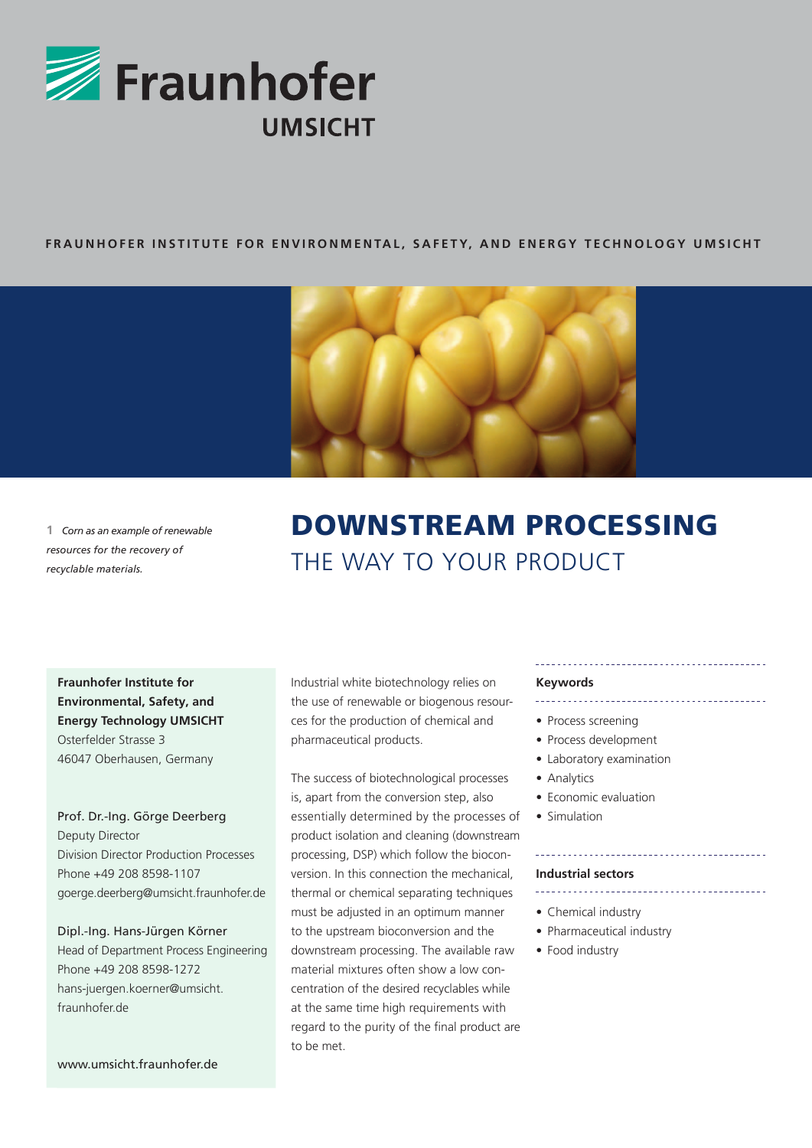

# **FRAUNHOFER INSTITUT e for en v ironmenta l, S afet y, an d ener gy techno l o gy umsicht**



**1** *Corn as an example of renewable resources for the recovery of recyclable materials.*

# Downstream Processing THE WAY TO YOUR PRODUCT

**Fraunhofer Institute for Environmental, Safety, and Energy Technology UMSICHT** Osterfelder Strasse 3 46047 Oberhausen, Germany

Prof. Dr.-Ing. Görge Deerberg Deputy Director Division Director Production Processes Phone +49 208 8598-1107 goerge.deerberg@umsicht.fraunhofer.de

Dipl.-Ing. Hans-Jürgen Körner Head of Department Process Engineering Phone +49 208 8598-1272 hans-juergen.koerner@umsicht. fraunhofer.de

Industrial white biotechnology relies on the use of renewable or biogenous resources for the production of chemical and pharmaceutical products.

The success of biotechnological processes is, apart from the conversion step, also essentially determined by the processes of product isolation and cleaning (downstream processing, DSP) which follow the bioconversion. In this connection the mechanical, thermal or chemical separating techniques must be adjusted in an optimum manner to the upstream bioconversion and the downstream processing. The available raw material mixtures often show a low concentration of the desired recyclables while at the same time high requirements with regard to the purity of the final product are to be met.

#### **Keywords**

- 
- Process screening
- Process development
- Laboratory examination
- Analytics
- Economic evaluation
- Simulation

#### **Industrial sectors**

\_\_\_\_\_\_\_\_\_\_\_\_\_\_\_\_\_\_\_\_\_\_\_\_\_\_\_\_\_\_\_\_\_

- Chemical industry
- Pharmaceutical industry
- Food industry

www.umsicht.fraunhofer.de